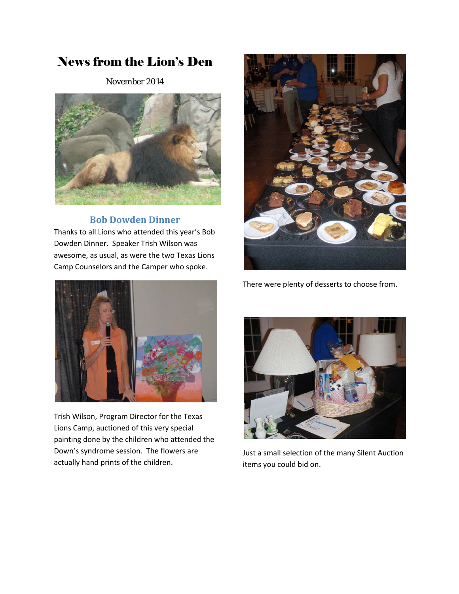# News from the Lion's Den

November 2014



## **Bob Dowden Dinner**

Thanks to all Lions who attended this year's Bob Dowden Dinner. Speaker Trish Wilson was awesome, as usual, as were the two Texas Lions Camp Counselors and the Camper who spoke.







Trish Wilson, Program Director for the Texas Lions Camp, auctioned of this very special painting done by the children who attended the Down's syndrome session. The flowers are actually hand prints of the children.



Just a small selection of the many Silent Auction items you could bid on.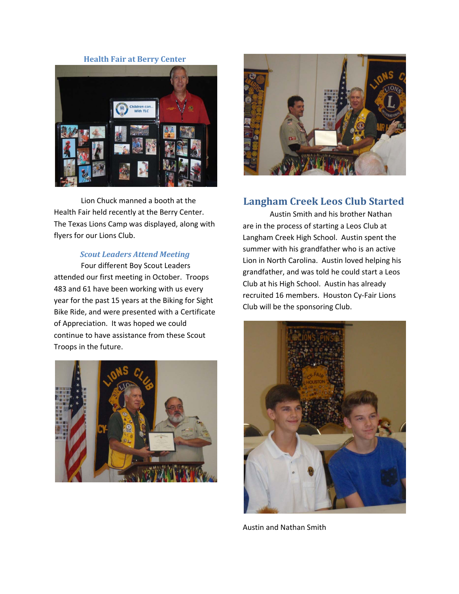#### **Health Fair at Berry Center**



Lion Chuck manned a booth at the Health Fair held recently at the Berry Center. The Texas Lions Camp was displayed, along with flyers for our Lions Club.

#### *Scout Leaders Attend Meeting*

Four different Boy Scout Leaders attended our first meeting in October. Troops 483 and 61 have been working with us every year for the past 15 years at the Biking for Sight Bike Ride, and were presented with a Certificate of Appreciation. It was hoped we could continue to have assistance from these Scout Troops in the future.





## **Langham Creek Leos Club Started**

Austin Smith and his brother Nathan are in the process of starting a Leos Club at Langham Creek High School. Austin spent the summer with his grandfather who is an active Lion in North Carolina. Austin loved helping his grandfather, and was told he could start a Leos Club at his High School. Austin has already recruited 16 members. Houston Cy‐Fair Lions Club will be the sponsoring Club.



Austin and Nathan Smith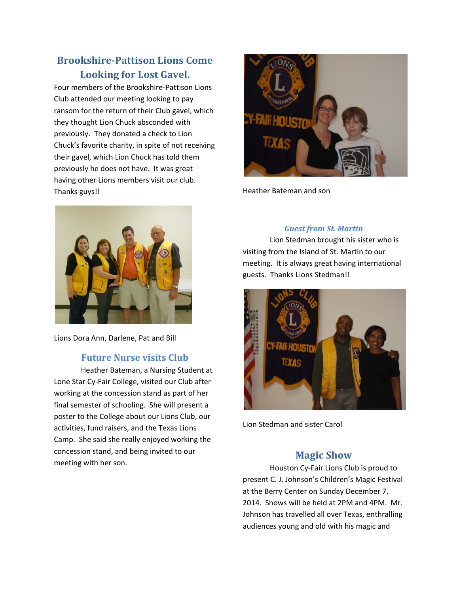## **Brookshire‐Pattison Lions Come Looking for Lost Gavel.**

Four members of the Brookshire‐Pattison Lions Club attended our meeting looking to pay ransom for the return of their Club gavel, which they thought Lion Chuck absconded with previously. They donated a check to Lion Chuck's favorite charity, in spite of not receiving their gavel, which Lion Chuck has told them previously he does not have. It was great having other Lions members visit our club. Thanks guys!!



Lions Dora Ann, Darlene, Pat and Bill

### **Future Nurse visits Club**

Heather Bateman, a Nursing Student at Lone Star Cy‐Fair College, visited our Club after working at the concession stand as part of her final semester of schooling. She will present a poster to the College about our Lions Club, our activities, fund raisers, and the Texas Lions Camp. She said she really enjoyed working the concession stand, and being invited to our meeting with her son.



Heather Bateman and son

### *Guest from St. Martin*

Lion Stedman brought his sister who is visiting from the Island of St. Martin to our meeting. It is always great having international guests. Thanks Lions Stedman!!



Lion Stedman and sister Carol

## **Magic Show**

Houston Cy‐Fair Lions Club is proud to present C. J. Johnson's Children's Magic Festival at the Berry Center on Sunday December 7. 2014. Shows will be held at 2PM and 4PM. Mr. Johnson has travelled all over Texas, enthralling audiences young and old with his magic and